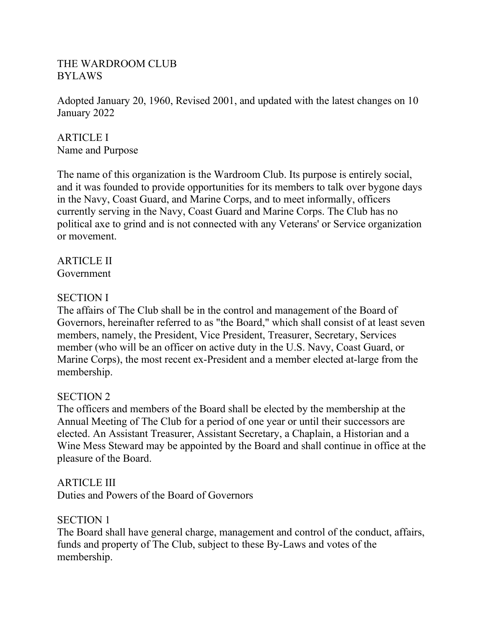### THE WARDROOM CLUB BYLAWS

Adopted January 20, 1960, Revised 2001, and updated with the latest changes on 10 January 2022

# ARTICLE I Name and Purpose

The name of this organization is the Wardroom Club. Its purpose is entirely social, and it was founded to provide opportunities for its members to talk over bygone days in the Navy, Coast Guard, and Marine Corps, and to meet informally, officers currently serving in the Navy, Coast Guard and Marine Corps. The Club has no political axe to grind and is not connected with any Veterans' or Service organization or movement.

# ARTICLE II

Government

### SECTION I

The affairs of The Club shall be in the control and management of the Board of Governors, hereinafter referred to as "the Board," which shall consist of at least seven members, namely, the President, Vice President, Treasurer, Secretary, Services member (who will be an officer on active duty in the U.S. Navy, Coast Guard, or Marine Corps), the most recent ex-President and a member elected at-large from the membership.

### SECTION 2

The officers and members of the Board shall be elected by the membership at the Annual Meeting of The Club for a period of one year or until their successors are elected. An Assistant Treasurer, Assistant Secretary, a Chaplain, a Historian and a Wine Mess Steward may be appointed by the Board and shall continue in office at the pleasure of the Board.

### ARTICLE III

Duties and Powers of the Board of Governors

### SECTION 1

The Board shall have general charge, management and control of the conduct, affairs, funds and property of The Club, subject to these By-Laws and votes of the membership.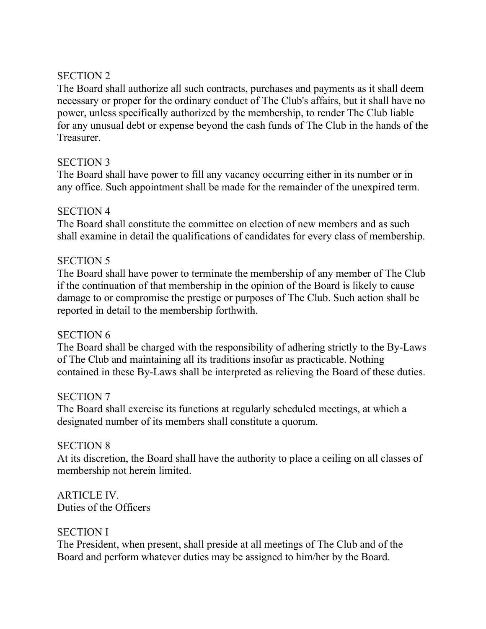The Board shall authorize all such contracts, purchases and payments as it shall deem necessary or proper for the ordinary conduct of The Club's affairs, but it shall have no power, unless specifically authorized by the membership, to render The Club liable for any unusual debt or expense beyond the cash funds of The Club in the hands of the Treasurer.

### SECTION 3

The Board shall have power to fill any vacancy occurring either in its number or in any office. Such appointment shall be made for the remainder of the unexpired term.

### SECTION 4

The Board shall constitute the committee on election of new members and as such shall examine in detail the qualifications of candidates for every class of membership.

### SECTION 5

The Board shall have power to terminate the membership of any member of The Club if the continuation of that membership in the opinion of the Board is likely to cause damage to or compromise the prestige or purposes of The Club. Such action shall be reported in detail to the membership forthwith.

### SECTION 6

The Board shall be charged with the responsibility of adhering strictly to the By-Laws of The Club and maintaining all its traditions insofar as practicable. Nothing contained in these By-Laws shall be interpreted as relieving the Board of these duties.

### SECTION 7

The Board shall exercise its functions at regularly scheduled meetings, at which a designated number of its members shall constitute a quorum.

#### SECTION 8

At its discretion, the Board shall have the authority to place a ceiling on all classes of membership not herein limited.

ARTICLE IV. Duties of the Officers

#### SECTION I

The President, when present, shall preside at all meetings of The Club and of the Board and perform whatever duties may be assigned to him/her by the Board.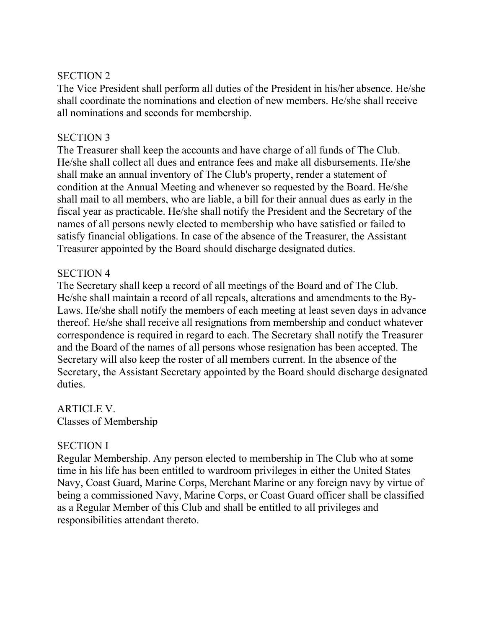The Vice President shall perform all duties of the President in his/her absence. He/she shall coordinate the nominations and election of new members. He/she shall receive all nominations and seconds for membership.

### SECTION 3

The Treasurer shall keep the accounts and have charge of all funds of The Club. He/she shall collect all dues and entrance fees and make all disbursements. He/she shall make an annual inventory of The Club's property, render a statement of condition at the Annual Meeting and whenever so requested by the Board. He/she shall mail to all members, who are liable, a bill for their annual dues as early in the fiscal year as practicable. He/she shall notify the President and the Secretary of the names of all persons newly elected to membership who have satisfied or failed to satisfy financial obligations. In case of the absence of the Treasurer, the Assistant Treasurer appointed by the Board should discharge designated duties.

### SECTION 4

The Secretary shall keep a record of all meetings of the Board and of The Club. He/she shall maintain a record of all repeals, alterations and amendments to the By-Laws. He/she shall notify the members of each meeting at least seven days in advance thereof. He/she shall receive all resignations from membership and conduct whatever correspondence is required in regard to each. The Secretary shall notify the Treasurer and the Board of the names of all persons whose resignation has been accepted. The Secretary will also keep the roster of all members current. In the absence of the Secretary, the Assistant Secretary appointed by the Board should discharge designated duties.

### ARTICLE V. Classes of Membership

### SECTION I

Regular Membership. Any person elected to membership in The Club who at some time in his life has been entitled to wardroom privileges in either the United States Navy, Coast Guard, Marine Corps, Merchant Marine or any foreign navy by virtue of being a commissioned Navy, Marine Corps, or Coast Guard officer shall be classified as a Regular Member of this Club and shall be entitled to all privileges and responsibilities attendant thereto.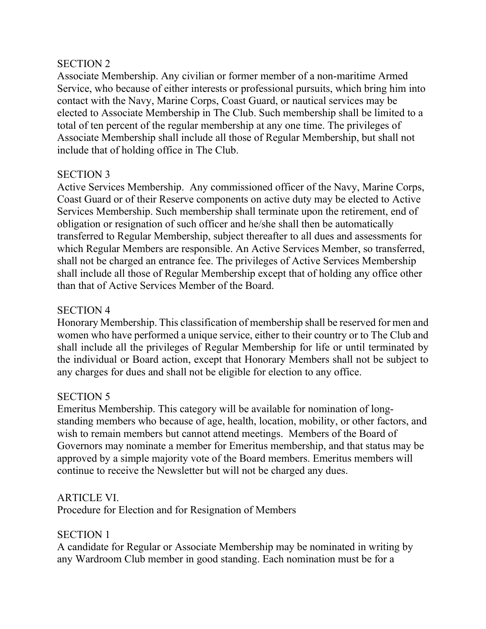Associate Membership. Any civilian or former member of a non-maritime Armed Service, who because of either interests or professional pursuits, which bring him into contact with the Navy, Marine Corps, Coast Guard, or nautical services may be elected to Associate Membership in The Club. Such membership shall be limited to a total of ten percent of the regular membership at any one time. The privileges of Associate Membership shall include all those of Regular Membership, but shall not include that of holding office in The Club.

#### SECTION 3

Active Services Membership. Any commissioned officer of the Navy, Marine Corps, Coast Guard or of their Reserve components on active duty may be elected to Active Services Membership. Such membership shall terminate upon the retirement, end of obligation or resignation of such officer and he/she shall then be automatically transferred to Regular Membership, subject thereafter to all dues and assessments for which Regular Members are responsible. An Active Services Member, so transferred, shall not be charged an entrance fee. The privileges of Active Services Membership shall include all those of Regular Membership except that of holding any office other than that of Active Services Member of the Board.

### SECTION 4

Honorary Membership. This classification of membership shall be reserved for men and women who have performed a unique service, either to their country or to The Club and shall include all the privileges of Regular Membership for life or until terminated by the individual or Board action, except that Honorary Members shall not be subject to any charges for dues and shall not be eligible for election to any office.

#### SECTION 5

Emeritus Membership. This category will be available for nomination of longstanding members who because of age, health, location, mobility, or other factors, and wish to remain members but cannot attend meetings. Members of the Board of Governors may nominate a member for Emeritus membership, and that status may be approved by a simple majority vote of the Board members. Emeritus members will continue to receive the Newsletter but will not be charged any dues.

#### ARTICLE VI.

Procedure for Election and for Resignation of Members

### SECTION 1

A candidate for Regular or Associate Membership may be nominated in writing by any Wardroom Club member in good standing. Each nomination must be for a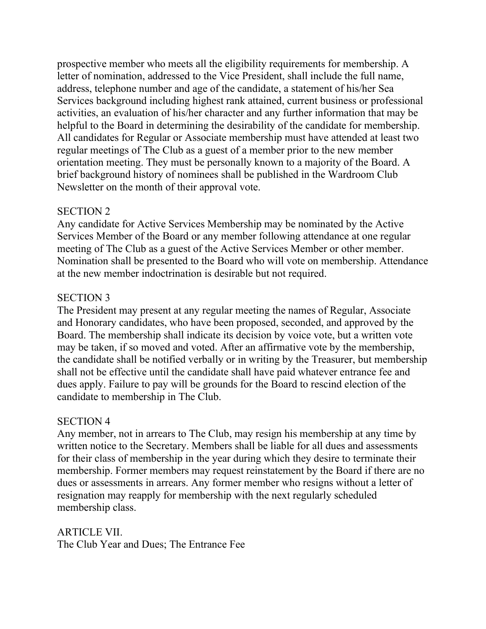prospective member who meets all the eligibility requirements for membership. A letter of nomination, addressed to the Vice President, shall include the full name, address, telephone number and age of the candidate, a statement of his/her Sea Services background including highest rank attained, current business or professional activities, an evaluation of his/her character and any further information that may be helpful to the Board in determining the desirability of the candidate for membership. All candidates for Regular or Associate membership must have attended at least two regular meetings of The Club as a guest of a member prior to the new member orientation meeting. They must be personally known to a majority of the Board. A brief background history of nominees shall be published in the Wardroom Club Newsletter on the month of their approval vote.

#### SECTION 2

Any candidate for Active Services Membership may be nominated by the Active Services Member of the Board or any member following attendance at one regular meeting of The Club as a guest of the Active Services Member or other member. Nomination shall be presented to the Board who will vote on membership. Attendance at the new member indoctrination is desirable but not required.

#### SECTION 3

The President may present at any regular meeting the names of Regular, Associate and Honorary candidates, who have been proposed, seconded, and approved by the Board. The membership shall indicate its decision by voice vote, but a written vote may be taken, if so moved and voted. After an affirmative vote by the membership, the candidate shall be notified verbally or in writing by the Treasurer, but membership shall not be effective until the candidate shall have paid whatever entrance fee and dues apply. Failure to pay will be grounds for the Board to rescind election of the candidate to membership in The Club.

#### SECTION 4

Any member, not in arrears to The Club, may resign his membership at any time by written notice to the Secretary. Members shall be liable for all dues and assessments for their class of membership in the year during which they desire to terminate their membership. Former members may request reinstatement by the Board if there are no dues or assessments in arrears. Any former member who resigns without a letter of resignation may reapply for membership with the next regularly scheduled membership class.

ARTICLE VII. The Club Year and Dues; The Entrance Fee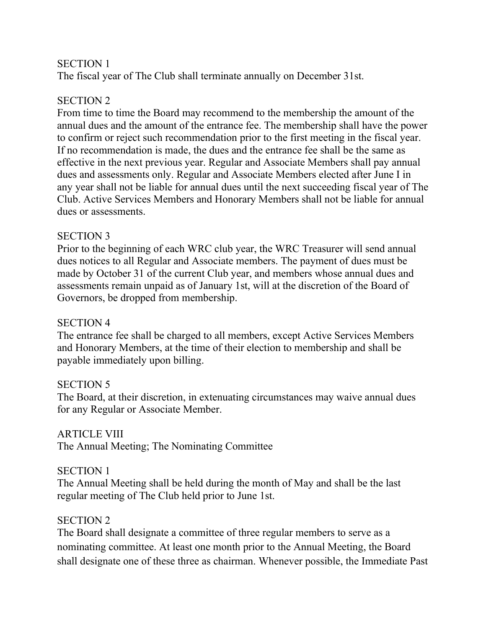The fiscal year of The Club shall terminate annually on December 31st.

### SECTION 2

From time to time the Board may recommend to the membership the amount of the annual dues and the amount of the entrance fee. The membership shall have the power to confirm or reject such recommendation prior to the first meeting in the fiscal year. If no recommendation is made, the dues and the entrance fee shall be the same as effective in the next previous year. Regular and Associate Members shall pay annual dues and assessments only. Regular and Associate Members elected after June I in any year shall not be liable for annual dues until the next succeeding fiscal year of The Club. Active Services Members and Honorary Members shall not be liable for annual dues or assessments.

### SECTION 3

Prior to the beginning of each WRC club year, the WRC Treasurer will send annual dues notices to all Regular and Associate members. The payment of dues must be made by October 31 of the current Club year, and members whose annual dues and assessments remain unpaid as of January 1st, will at the discretion of the Board of Governors, be dropped from membership.

### SECTION 4

The entrance fee shall be charged to all members, except Active Services Members and Honorary Members, at the time of their election to membership and shall be payable immediately upon billing.

### SECTION 5

The Board, at their discretion, in extenuating circumstances may waive annual dues for any Regular or Associate Member.

### ARTICLE VIII

The Annual Meeting; The Nominating Committee

### SECTION 1

The Annual Meeting shall be held during the month of May and shall be the last regular meeting of The Club held prior to June 1st.

### SECTION 2

The Board shall designate a committee of three regular members to serve as a nominating committee. At least one month prior to the Annual Meeting, the Board shall designate one of these three as chairman. Whenever possible, the Immediate Past